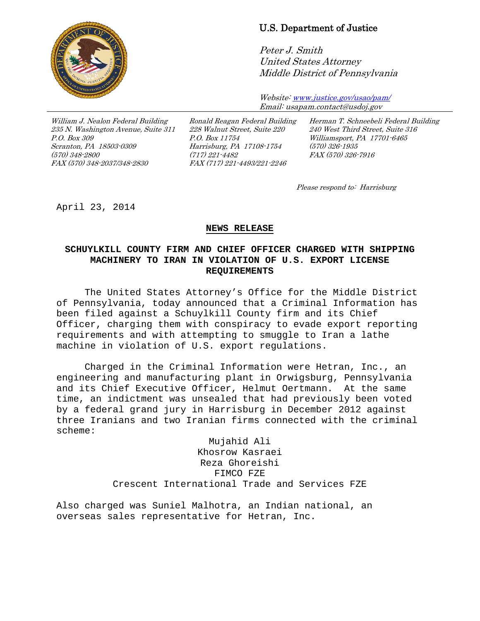

## U.S. Department of Justice

Peter J. Smith United States Attorney Middle District of Pennsylvania

Website[: www.justice.gov/usao/pam/](http://www.justice.gov/usao/pam/) Email: usapam.contact@usdoj.gov

William J. Nealon Federal Building 235 N. Washington Avenue, Suite 311 P.O. Box 309 Scranton, PA 18503-0309 (570) 348-2800 FAX (570) 348-2037/348-2830

Ronald Reagan Federal Building 228 Walnut Street, Suite 220 P.O. Box 11754 Harrisburg, PA 17108-1754 (717) 221-4482 FAX (717) 221-4493/221-2246

Herman T. Schneebeli Federal Building 240 West Third Street, Suite 316 Williamsport, PA 17701-6465 (570) 326-1935 FAX (570) 326-7916

Please respond to: Harrisburg

April 23, 2014

## **NEWS RELEASE**

## **SCHUYLKILL COUNTY FIRM AND CHIEF OFFICER CHARGED WITH SHIPPING MACHINERY TO IRAN IN VIOLATION OF U.S. EXPORT LICENSE REQUIREMENTS**

The United States Attorney's Office for the Middle District of Pennsylvania, today announced that a Criminal Information has been filed against a Schuylkill County firm and its Chief Officer, charging them with conspiracy to evade export reporting requirements and with attempting to smuggle to Iran a lathe machine in violation of U.S. export regulations.

Charged in the Criminal Information were Hetran, Inc., an engineering and manufacturing plant in Orwigsburg, Pennsylvania and its Chief Executive Officer, Helmut Oertmann. At the same time, an indictment was unsealed that had previously been voted by a federal grand jury in Harrisburg in December 2012 against three Iranians and two Iranian firms connected with the criminal scheme:

> Mujahid Ali Khosrow Kasraei Reza Ghoreishi FIMCO FZE Crescent International Trade and Services FZE

Also charged was Suniel Malhotra, an Indian national, an overseas sales representative for Hetran, Inc.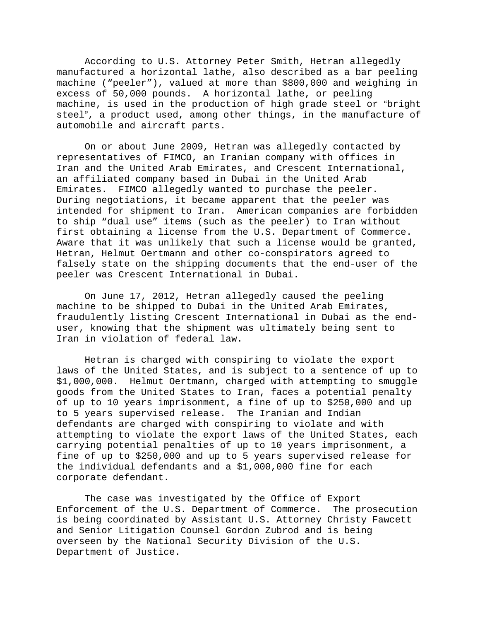According to U.S. Attorney Peter Smith, Hetran allegedly manufactured a horizontal lathe, also described as a bar peeling machine ("peeler"), valued at more than \$800,000 and weighing in excess of 50,000 pounds. A horizontal lathe, or peeling machine, is used in the production of high grade steel or "bright steel", a product used, among other things, in the manufacture of automobile and aircraft parts.

On or about June 2009, Hetran was allegedly contacted by representatives of FIMCO, an Iranian company with offices in Iran and the United Arab Emirates, and Crescent International, an affiliated company based in Dubai in the United Arab Emirates. FIMCO allegedly wanted to purchase the peeler. During negotiations, it became apparent that the peeler was intended for shipment to Iran. American companies are forbidden to ship "dual use" items (such as the peeler) to Iran without first obtaining a license from the U.S. Department of Commerce. Aware that it was unlikely that such a license would be granted, Hetran, Helmut Oertmann and other co-conspirators agreed to falsely state on the shipping documents that the end-user of the peeler was Crescent International in Dubai.

On June 17, 2012, Hetran allegedly caused the peeling machine to be shipped to Dubai in the United Arab Emirates, fraudulently listing Crescent International in Dubai as the enduser, knowing that the shipment was ultimately being sent to Iran in violation of federal law.

Hetran is charged with conspiring to violate the export laws of the United States, and is subject to a sentence of up to \$1,000,000. Helmut Oertmann, charged with attempting to smuggle goods from the United States to Iran, faces a potential penalty of up to 10 years imprisonment, a fine of up to \$250,000 and up to 5 years supervised release. The Iranian and Indian defendants are charged with conspiring to violate and with attempting to violate the export laws of the United States, each carrying potential penalties of up to 10 years imprisonment, a fine of up to \$250,000 and up to 5 years supervised release for the individual defendants and a \$1,000,000 fine for each corporate defendant.

The case was investigated by the Office of Export Enforcement of the U.S. Department of Commerce. The prosecution is being coordinated by Assistant U.S. Attorney Christy Fawcett and Senior Litigation Counsel Gordon Zubrod and is being overseen by the National Security Division of the U.S. Department of Justice.